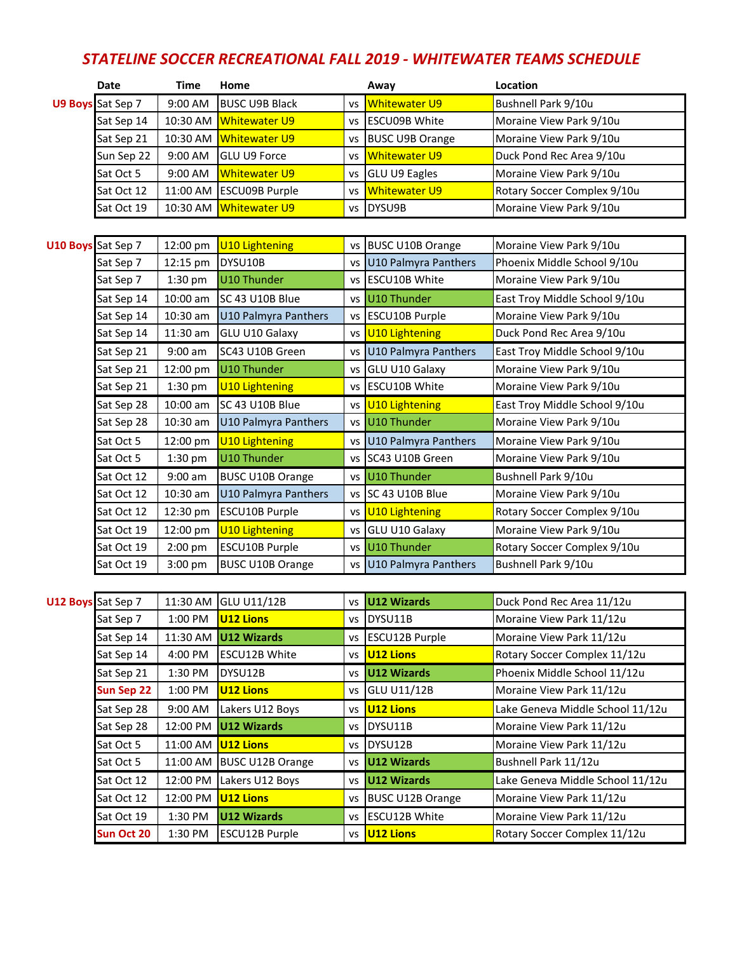## *STATELINE SOCCER RECREATIONAL FALL 2019 - WHITEWATER TEAMS SCHEDULE*

|                    | <b>Date</b>       | <b>Time</b>               | Home                        |           | Away                    | Location                         |
|--------------------|-------------------|---------------------------|-----------------------------|-----------|-------------------------|----------------------------------|
|                    | U9 Boys Sat Sep 7 | 9:00 AM                   | <b>BUSC U9B Black</b>       | VS        | <b>Whitewater U9</b>    | Bushnell Park 9/10u              |
|                    | Sat Sep 14        | 10:30 AM                  | <b>Whitewater U9</b>        | vs        | <b>ESCU09B White</b>    | Moraine View Park 9/10u          |
|                    | Sat Sep 21        | 10:30 AM                  | <b>Whitewater U9</b>        | vs        | <b>BUSC U9B Orange</b>  | Moraine View Park 9/10u          |
|                    | Sun Sep 22        | 9:00 AM                   | GLU U9 Force                | VS        | <b>Whitewater U9</b>    | Duck Pond Rec Area 9/10u         |
|                    | Sat Oct 5         | 9:00 AM                   | <b>Whitewater U9</b>        | vs        | <b>GLU U9 Eagles</b>    | Moraine View Park 9/10u          |
|                    | Sat Oct 12        | 11:00 AM                  | ESCU09B Purple              | vs        | <b>Whitewater U9</b>    | Rotary Soccer Complex 9/10u      |
|                    | Sat Oct 19        | 10:30 AM                  | <b>Whitewater U9</b>        | VS        | DYSU9B                  | Moraine View Park 9/10u          |
|                    |                   |                           |                             |           |                         |                                  |
| U10 Boys Sat Sep 7 |                   | 12:00 pm                  | <b>U10 Lightening</b>       | vs        | <b>BUSC U10B Orange</b> | Moraine View Park 9/10u          |
|                    | Sat Sep 7         | 12:15 pm                  | DYSU10B                     | <b>VS</b> | U10 Palmyra Panthers    | Phoenix Middle School 9/10u      |
|                    | Sat Sep 7         | 1:30 pm                   | U10 Thunder                 | VS        | <b>ESCU10B White</b>    | Moraine View Park 9/10u          |
|                    | Sat Sep 14        | 10:00 am                  | SC 43 U10B Blue             |           | vs U10 Thunder          | East Troy Middle School 9/10u    |
|                    | Sat Sep 14        | 10:30 am                  | U10 Palmyra Panthers        | <b>VS</b> | <b>ESCU10B Purple</b>   | Moraine View Park 9/10u          |
|                    | Sat Sep 14        | 11:30 am                  | GLU U10 Galaxy              |           | vs U10 Lightening       | Duck Pond Rec Area 9/10u         |
|                    | Sat Sep 21        | $9:00$ am                 | SC43 U10B Green             | VS        | U10 Palmyra Panthers    | East Troy Middle School 9/10u    |
|                    | Sat Sep 21        | 12:00 pm                  | U10 Thunder                 | vs        | GLU U10 Galaxy          | Moraine View Park 9/10u          |
|                    | Sat Sep 21        | 1:30 pm                   | <b>U10 Lightening</b>       | <b>VS</b> | <b>ESCU10B White</b>    | Moraine View Park 9/10u          |
|                    | Sat Sep 28        | 10:00 am                  | SC 43 U10B Blue             |           | vs U10 Lightening       | East Troy Middle School 9/10u    |
|                    | Sat Sep 28        | 10:30 am                  | U10 Palmyra Panthers        |           | vs U10 Thunder          | Moraine View Park 9/10u          |
|                    | Sat Oct 5         | 12:00 pm                  | <b>U10 Lightening</b>       | <b>VS</b> | U10 Palmyra Panthers    | Moraine View Park 9/10u          |
|                    | Sat Oct 5         | 1:30 pm                   | U10 Thunder                 | ٧S        | SC43 U10B Green         | Moraine View Park 9/10u          |
|                    | Sat Oct 12        | $9:00$ am                 | <b>BUSC U10B Orange</b>     | vs        | U10 Thunder             | Bushnell Park 9/10u              |
|                    | Sat Oct 12        | 10:30 am                  | <b>U10 Palmyra Panthers</b> | <b>VS</b> | SC 43 U10B Blue         | Moraine View Park 9/10u          |
|                    | Sat Oct 12        | 12:30 pm                  | ESCU10B Purple              |           | vs U10 Lightening       | Rotary Soccer Complex 9/10u      |
|                    | Sat Oct 19        | 12:00 pm                  | <b>U10 Lightening</b>       | <b>VS</b> | GLU U10 Galaxy          | Moraine View Park 9/10u          |
|                    | Sat Oct 19        | 2:00 pm                   | ESCU10B Purple              |           | vs U10 Thunder          | Rotary Soccer Complex 9/10u      |
|                    | Sat Oct 19        | 3:00 pm                   | <b>BUSC U10B Orange</b>     |           | vs U10 Palmyra Panthers | Bushnell Park 9/10u              |
|                    |                   |                           |                             |           |                         |                                  |
| U12 Boys Sat Sep 7 |                   | 11:30 AM                  | <b>GLU U11/12B</b>          | vs        | <b>U12 Wizards</b>      | Duck Pond Rec Area 11/12u        |
|                    | Sat Sep 7         | 1:00 PM                   | U <sub>12</sub> Lions       |           | vs DYSU11B              | Moraine View Park 11/12u         |
|                    | Sat Sep 14        |                           | 11:30 AM $ U12$ Wizards     |           | vs ESCU12B Purple       | Moraine View Park 11/12u         |
|                    | Sat Sep 14        | 4:00 PM                   | ESCU12B White               |           | vs U12 Lions            | Rotary Soccer Complex 11/12u     |
|                    | Sat Sep 21        | 1:30 PM                   | DYSU12B                     |           | vs U12 Wizards          | Phoenix Middle School 11/12u     |
|                    | Sun Sep 22        | 1:00 PM                   | <b>U12 Lions</b>            |           | vs GLU U11/12B          | Moraine View Park 11/12u         |
|                    | Sat Sep 28        | 9:00 AM                   | Lakers U12 Boys             |           | vs U12 Lions            | Lake Geneva Middle School 11/12u |
|                    | Sat Sep 28        | 12:00 PM                  | <b>U12 Wizards</b>          |           | vs DYSU11B              | Moraine View Park 11/12u         |
|                    | Sat Oct 5         | 11:00 AM <b>U12 Lions</b> |                             | VS        | DYSU12B                 | Moraine View Park 11/12u         |
|                    | Sat Oct 5         | 11:00 AM                  | <b>BUSC U12B Orange</b>     | VS        | U12 Wizards             | Bushnell Park 11/12u             |
|                    | Sat Oct 12        | 12:00 PM                  | Lakers U12 Boys             |           | vs U12 Wizards          | Lake Geneva Middle School 11/12u |
|                    | Sat Oct 12        | 12:00 PM                  | <b>U12 Lions</b>            | ٧S        | <b>BUSC U12B Orange</b> | Moraine View Park 11/12u         |
|                    | Sat Oct 19        | 1:30 PM                   | U12 Wizards                 | VS        | <b>ESCU12B White</b>    | Moraine View Park 11/12u         |
|                    | Sun Oct 20        | 1:30 PM                   | ESCU12B Purple              |           | vs U12 Lions            | Rotary Soccer Complex 11/12u     |